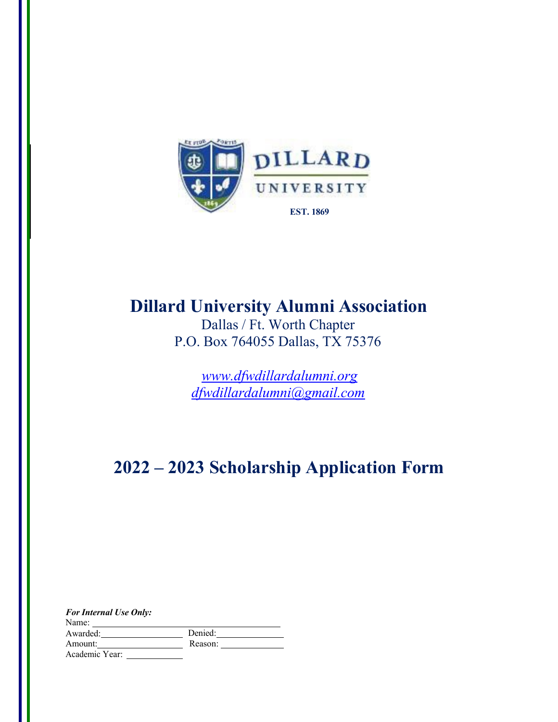

## **Dillard University Alumni Association**

Dallas / Ft. Worth Chapter P.O. Box 764055 Dallas, TX 75376

*[www.dfwdillardalumni.org](http://www.dfwdillardalumni.org/) dfwdillardalumni@gmail.com*

# **2022 – 2023 Scholarship Application Form**

| <b>For Internal Use Only:</b> |         |
|-------------------------------|---------|
| Name:                         |         |
| Awarded:                      | Denied: |
| Amount:                       | Reason: |
| Academic Year:                |         |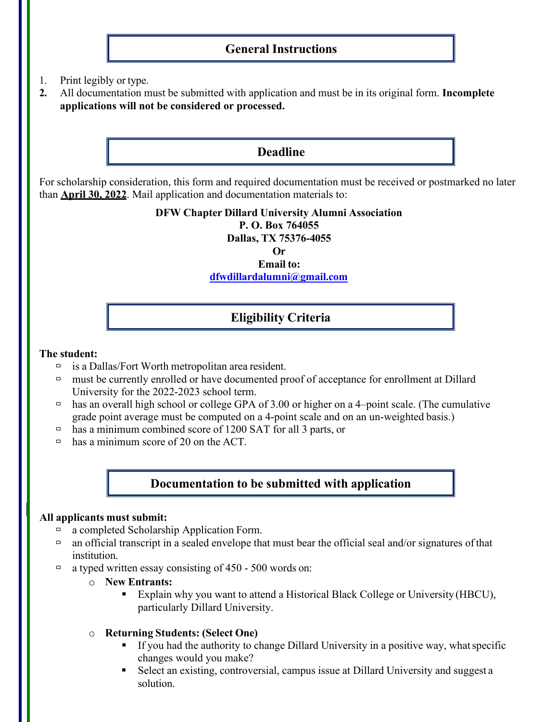## **General Instructions**

- 1. Print legibly or type.
- **2.** All documentation must be submitted with application and must be in its original form. **Incomplete applications will not be considered or processed.**

## **Deadline**

For scholarship consideration, this form and required documentation must be received or postmarked no later than **April 30, 2022**. Mail application and documentation materials to:

### **DFW Chapter Dillard University Alumni Association**

**P. O. Box 764055** 

**Dallas, TX 75376-4055**

**Or**

## **Email to:**

**[dfwdillardalumni@gmail.com](mailto:dfwdillardalumni@gmail.com)**

## **Eligibility Criteria**

#### **The student:**

- $\Box$  is a Dallas/Fort Worth metropolitan area resident.
- must be currently enrolled or have documented proof of acceptance for enrollment at Dillard University for the 2022-2023 school term.
- has an overall high school or college GPA of 3.00 or higher on a 4-point scale. (The cumulative grade point average must be computed on a 4-point scale and on an un-weighted basis.)
- has a minimum combined score of 1200 SAT for all 3 parts, or
- $\Box$  has a minimum score of 20 on the ACT.

## **Documentation to be submitted with application**

### **All applicants must submit:**

- □ a completed Scholarship Application Form.
- $\Box$  an official transcript in a sealed envelope that must bear the official seal and/or signatures of that institution.
- $\Box$  a typed written essay consisting of 450 500 words on:
	- o **New Entrants:**
		- **Explain why you want to attend a Historical Black College or University (HBCU),** particularly Dillard University.
	- o **Returning Students: (Select One)**
		- If you had the authority to change Dillard University in a positive way, whatspecific changes would you make?
		- Select an existing, controversial, campus issue at Dillard University and suggest a solution.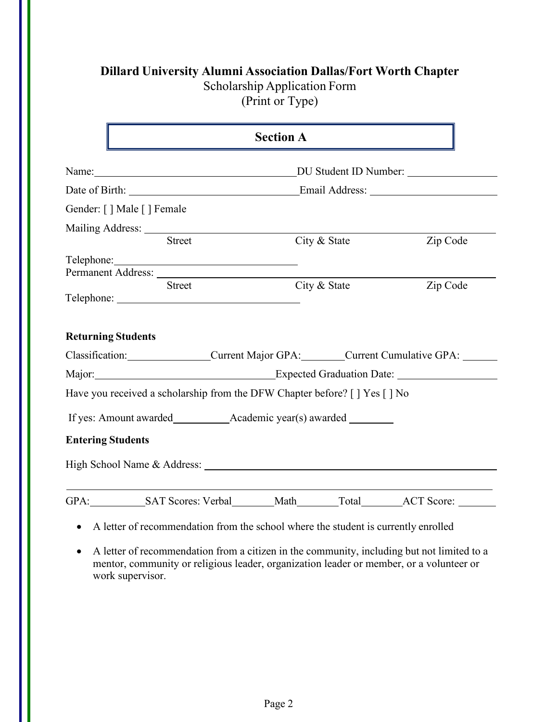| <b>Dillard University Alumni Association Dallas/Fort Worth Chapter</b> |  |
|------------------------------------------------------------------------|--|
|------------------------------------------------------------------------|--|

Scholarship Application Form

(Print or Type)

|                           |                                                                                                                                                                                                                               | <b>Section A</b>                                                            |                       |  |  |
|---------------------------|-------------------------------------------------------------------------------------------------------------------------------------------------------------------------------------------------------------------------------|-----------------------------------------------------------------------------|-----------------------|--|--|
|                           | Name:                                                                                                                                                                                                                         |                                                                             | DU Student ID Number: |  |  |
|                           |                                                                                                                                                                                                                               |                                                                             |                       |  |  |
| Gender: [] Male [] Female |                                                                                                                                                                                                                               |                                                                             |                       |  |  |
|                           |                                                                                                                                                                                                                               |                                                                             |                       |  |  |
|                           | <b>Street</b>                                                                                                                                                                                                                 | City & State                                                                | Zip Code              |  |  |
|                           | Telephone: Note and the set of the set of the set of the set of the set of the set of the set of the set of the set of the set of the set of the set of the set of the set of the set of the set of the set of the set of the |                                                                             |                       |  |  |
|                           | Permanent Address:                                                                                                                                                                                                            |                                                                             |                       |  |  |
|                           |                                                                                                                                                                                                                               |                                                                             |                       |  |  |
| <b>Returning Students</b> | <b>Street</b>                                                                                                                                                                                                                 | City & State                                                                | Zip Code              |  |  |
|                           |                                                                                                                                                                                                                               | Classification: Current Major GPA: Current Cumulative GPA:                  |                       |  |  |
|                           |                                                                                                                                                                                                                               |                                                                             |                       |  |  |
|                           |                                                                                                                                                                                                                               | Have you received a scholarship from the DFW Chapter before? [ ] Yes [ ] No |                       |  |  |
|                           |                                                                                                                                                                                                                               |                                                                             |                       |  |  |
| <b>Entering Students</b>  |                                                                                                                                                                                                                               |                                                                             |                       |  |  |
|                           |                                                                                                                                                                                                                               |                                                                             |                       |  |  |

- 
- A letter of recommendation from a citizen in the community, including but not limited to a mentor, community or religious leader, organization leader or member, or a volunteer or work supervisor.